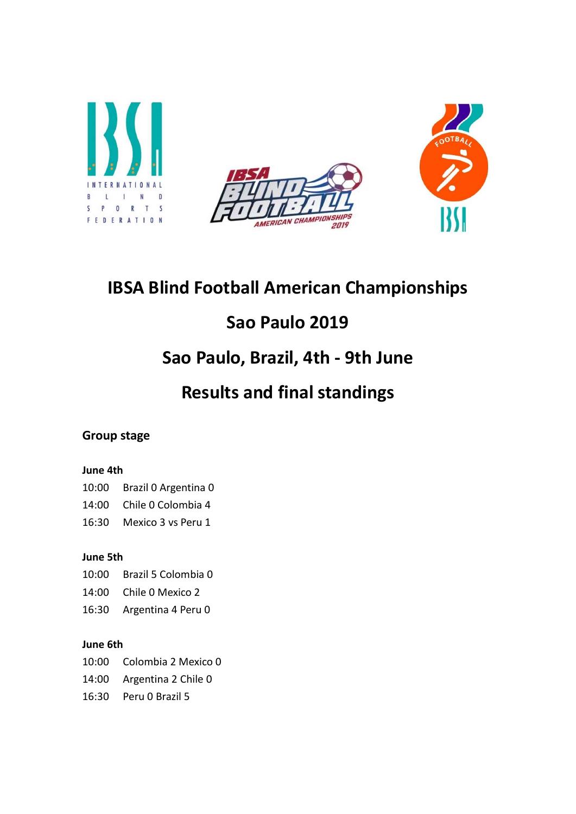





# IBSA Blind Football American Championships

# Sao Paulo 2019

# Sao Paulo, Brazil, 4th - 9th June

# Results and final standings

# Group stage

## June 4th

# 10:00 Brazil 0 Argentina 0

14:00 Chile 0 Colombia 4

16:30 Mexico 3 vs Peru 1

## June 5th

10:00 Brazil 5 Colombia 0

- 14:00 Chile 0 Mexico 2
- 16:30 Argentina 4 Peru 0

### June 6th

10:00 Colombia 2 Mexico 0

- 14:00 Argentina 2 Chile 0
- 16:30 Peru 0 Brazil 5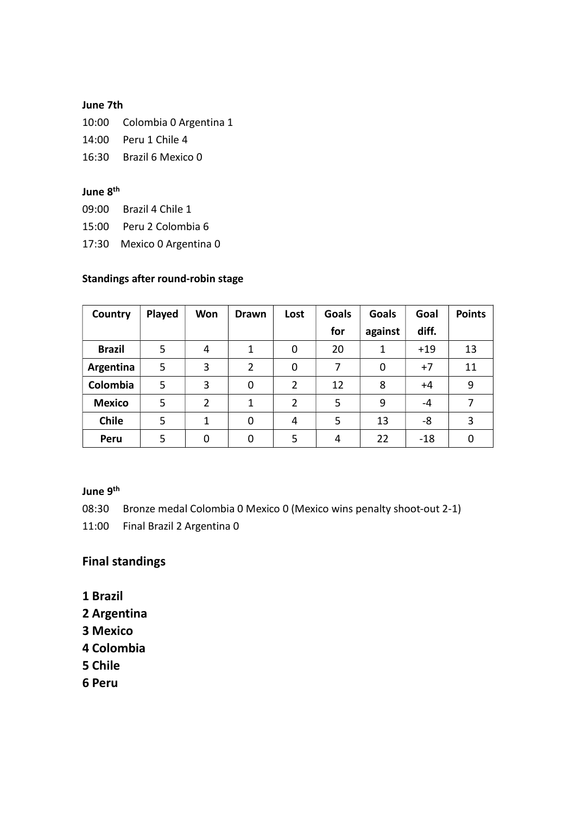### June 7th

10:00 Colombia 0 Argentina 1

14:00 Peru 1 Chile 4

16:30 Brazil 6 Mexico 0

### June 8<sup>th</sup>

09:00 Brazil 4 Chile 1

15:00 Peru 2 Colombia 6

17:30 Mexico 0 Argentina 0

### Standings after round-robin stage

| Country       | Played | Won            | <b>Drawn</b> | Lost           | <b>Goals</b> | <b>Goals</b> | Goal  | <b>Points</b> |
|---------------|--------|----------------|--------------|----------------|--------------|--------------|-------|---------------|
|               |        |                |              |                | for          | against      | diff. |               |
| <b>Brazil</b> | 5      | 4              | 1            | 0              | 20           | 1            | $+19$ | 13            |
| Argentina     | 5      | 3              | 2            | 0              | 7            | 0            | $+7$  | 11            |
| Colombia      | 5      | 3              | 0            | $\overline{2}$ | 12           | 8            | $+4$  | 9             |
| <b>Mexico</b> | 5      | $\overline{2}$ | 1            | $\overline{2}$ | 5            | 9            | -4    | 7             |
| <b>Chile</b>  | 5      | 1              | 0            | 4              | 5            | 13           | -8    | 3             |
| Peru          | 5      | 0              | 0            | 5              | 4            | 22           | $-18$ | 0             |

### June 9<sup>th</sup>

08:30 Bronze medal Colombia 0 Mexico 0 (Mexico wins penalty shoot-out 2-1)

11:00 Final Brazil 2 Argentina 0

# Final standings

- 1 Brazil
- 2 Argentina
- 3 Mexico
- 4 Colombia
- 5 Chile
- 6 Peru